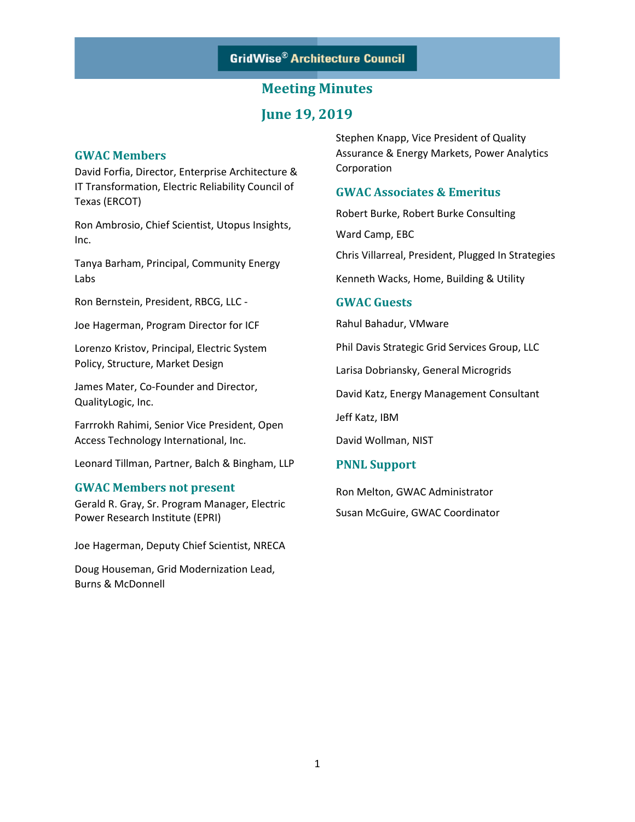## **June 19, 2019**

### **GWAC Members**

David Forfia, Director, Enterprise Architecture & IT Transformation, Electric Reliability Council of Texas (ERCOT)

Ron Ambrosio, Chief Scientist, Utopus Insights, Inc.

Tanya Barham, Principal, Community Energy Labs

Ron Bernstein, President, RBCG, LLC -

Joe Hagerman, Program Director for ICF

Lorenzo Kristov, Principal, Electric System Policy, Structure, Market Design

James Mater, Co-Founder and Director, QualityLogic, Inc.

Farrrokh Rahimi, Senior Vice President, Open Access Technology International, Inc.

Leonard Tillman, Partner, Balch & Bingham, LLP

### **GWAC Members not present**

Gerald R. Gray, Sr. Program Manager, Electric Power Research Institute (EPRI)

Joe Hagerman, Deputy Chief Scientist, NRECA

Doug Houseman, Grid Modernization Lead, Burns & McDonnell

Stephen Knapp, Vice President of Quality Assurance & Energy Markets, Power Analytics Corporation

### **GWAC Associates & Emeritus**

Robert Burke, Robert Burke Consulting

Ward Camp, EBC

Chris Villarreal, President, Plugged In Strategies

Kenneth Wacks, Home, Building & Utility

### **GWAC Guests**

Rahul Bahadur, VMware

Phil Davis Strategic Grid Services Group, LLC

Larisa Dobriansky, General Microgrids

David Katz, Energy Management Consultant

Jeff Katz, IBM

David Wollman, NIST

### **PNNL Support**

Ron Melton, GWAC Administrator Susan McGuire, GWAC Coordinator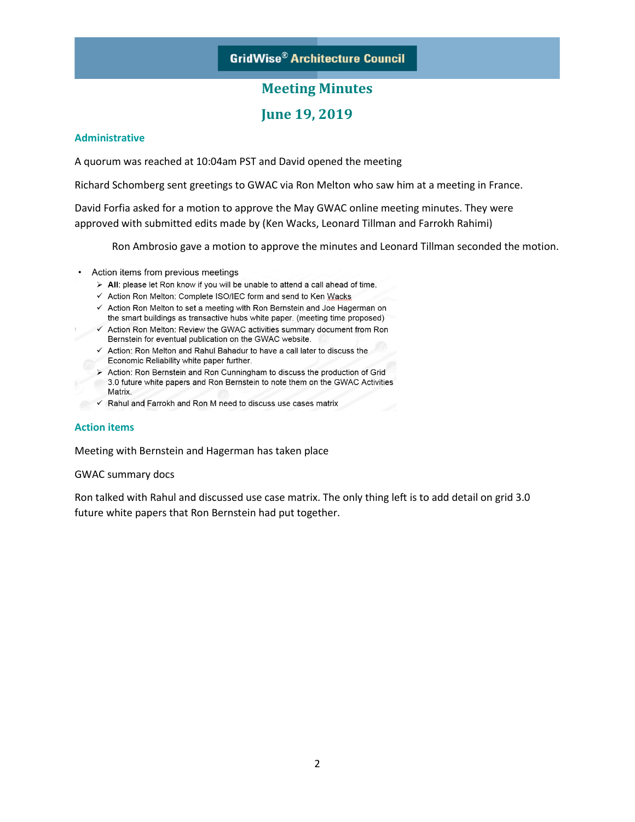## **Meeting Minutes**

### **June 19, 2019**

#### **Administrative**

A quorum was reached at 10:04am PST and David opened the meeting

Richard Schomberg sent greetings to GWAC via Ron Melton who saw him at a meeting in France.

David Forfia asked for a motion to approve the May GWAC online meeting minutes. They were approved with submitted edits made by (Ken Wacks, Leonard Tillman and Farrokh Rahimi)

Ron Ambrosio gave a motion to approve the minutes and Leonard Tillman seconded the motion.

- Action items from previous meetings
	- > All: please let Ron know if you will be unable to attend a call ahead of time.
	- ← Action Ron Melton: Complete ISO/IEC form and send to Ken Wacks
	- ← Action Ron Melton to set a meeting with Ron Bernstein and Joe Hagerman on the smart buildings as transactive hubs white paper. (meeting time proposed)
	- √ Action Ron Melton: Review the GWAC activities summary document from Ron Bernstein for eventual publication on the GWAC website.
		- ✓ Action: Ron Melton and Rahul Bahadur to have a call later to discuss the Economic Reliability white paper further.
		- > Action: Ron Bernstein and Ron Cunningham to discuss the production of Grid 3.0 future white papers and Ron Bernstein to note them on the GWAC Activities Matrix.
		- √ Rahul and Farrokh and Ron M need to discuss use cases matrix

### **Action items**

Meeting with Bernstein and Hagerman has taken place

#### GWAC summary docs

Ron talked with Rahul and discussed use case matrix. The only thing left is to add detail on grid 3.0 future white papers that Ron Bernstein had put together.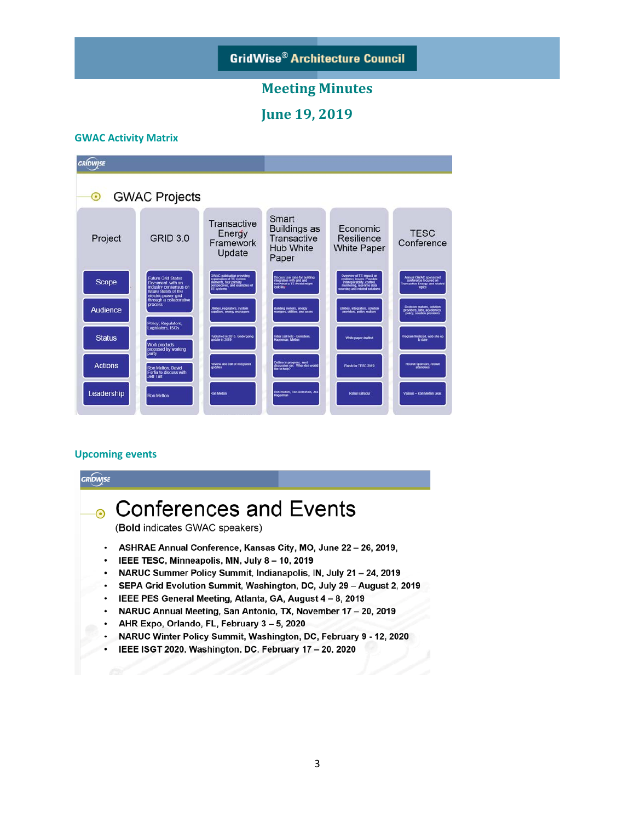## **Meeting Minutes**

**June 19, 2019** 

#### **GWAC Activity Matrix**



#### **Upcoming events**

### **GRIDWISE Conferences and Events**  $\odot$ (Bold indicates GWAC speakers) ASHRAE Annual Conference, Kansas City, MO, June 22 - 26, 2019,  $\bullet$ IEEE TESC, Minneapolis, MN, July 8 - 10, 2019  $\bullet$ NARUC Summer Policy Summit, Indianapolis, IN, July 21 - 24, 2019 SEPA Grid Evolution Summit, Washington, DC, July 29 - August 2, 2019 IEEE PES General Meeting, Atlanta, GA, August 4 - 8, 2019 NARUC Annual Meeting, San Antonio, TX, November 17 - 20, 2019 AHR Expo, Orlando, FL, February 3 - 5, 2020 NARUC Winter Policy Summit, Washington, DC, February 9 - 12, 2020 IEEE ISGT 2020, Washington, DC, February 17 - 20, 2020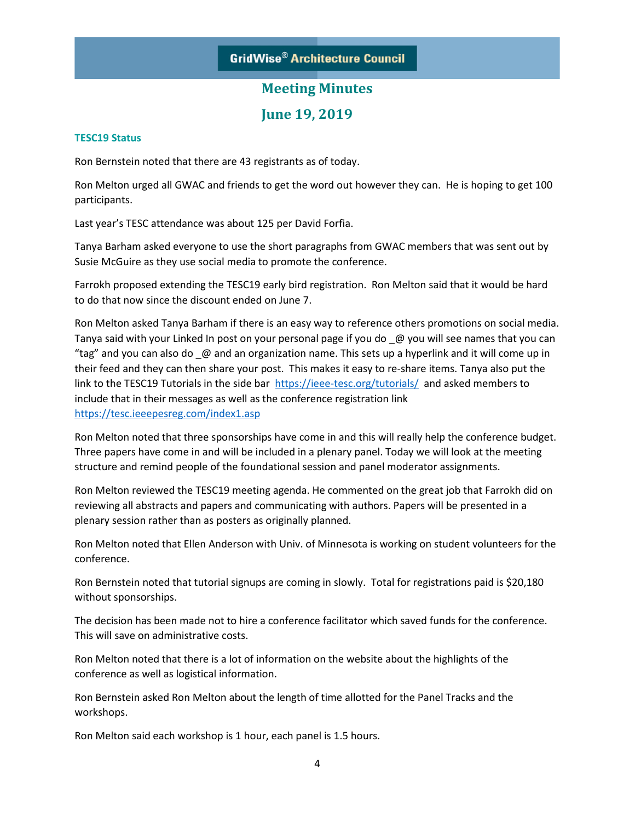**June 19, 2019** 

### **TESC19 Status**

Ron Bernstein noted that there are 43 registrants as of today.

Ron Melton urged all GWAC and friends to get the word out however they can. He is hoping to get 100 participants.

Last year's TESC attendance was about 125 per David Forfia.

Tanya Barham asked everyone to use the short paragraphs from GWAC members that was sent out by Susie McGuire as they use social media to promote the conference.

Farrokh proposed extending the TESC19 early bird registration. Ron Melton said that it would be hard to do that now since the discount ended on June 7.

Ron Melton asked Tanya Barham if there is an easy way to reference others promotions on social media. Tanya said with your Linked In post on your personal page if you do  $\omega$  you will see names that you can "tag" and you can also do \_@ and an organization name. This sets up a hyperlink and it will come up in their feed and they can then share your post. This makes it easy to re-share items. Tanya also put the link to the TESC19 Tutorials in the side bar <https://ieee-tesc.org/tutorials/>and asked members to include that in their messages as well as the conference registration link <https://tesc.ieeepesreg.com/index1.asp>

Ron Melton noted that three sponsorships have come in and this will really help the conference budget. Three papers have come in and will be included in a plenary panel. Today we will look at the meeting structure and remind people of the foundational session and panel moderator assignments.

Ron Melton reviewed the TESC19 meeting agenda. He commented on the great job that Farrokh did on reviewing all abstracts and papers and communicating with authors. Papers will be presented in a plenary session rather than as posters as originally planned.

Ron Melton noted that Ellen Anderson with Univ. of Minnesota is working on student volunteers for the conference.

Ron Bernstein noted that tutorial signups are coming in slowly. Total for registrations paid is \$20,180 without sponsorships.

The decision has been made not to hire a conference facilitator which saved funds for the conference. This will save on administrative costs.

Ron Melton noted that there is a lot of information on the website about the highlights of the conference as well as logistical information.

Ron Bernstein asked Ron Melton about the length of time allotted for the Panel Tracks and the workshops.

Ron Melton said each workshop is 1 hour, each panel is 1.5 hours.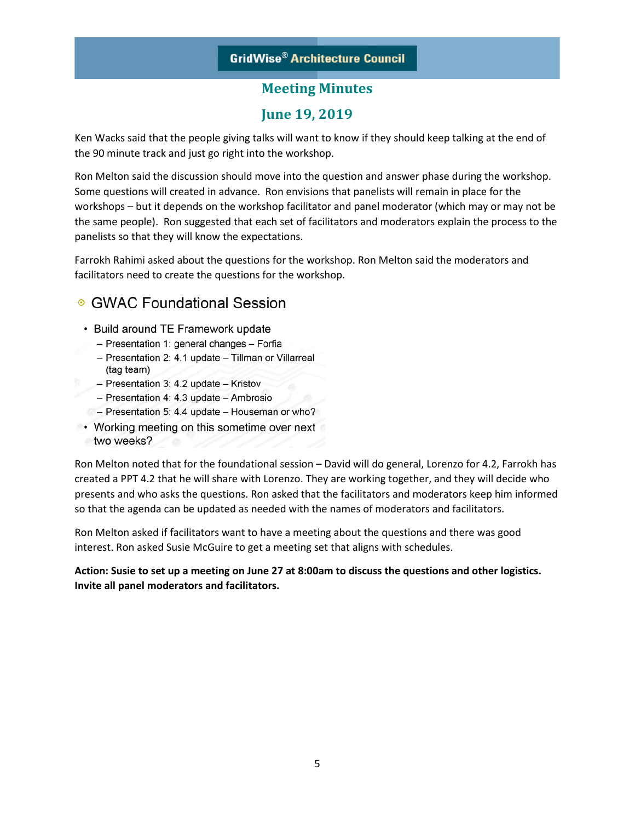# **June 19, 2019**

Ken Wacks said that the people giving talks will want to know if they should keep talking at the end of the 90 minute track and just go right into the workshop.

Ron Melton said the discussion should move into the question and answer phase during the workshop. Some questions will created in advance. Ron envisions that panelists will remain in place for the workshops – but it depends on the workshop facilitator and panel moderator (which may or may not be the same people). Ron suggested that each set of facilitators and moderators explain the process to the panelists so that they will know the expectations.

Farrokh Rahimi asked about the questions for the workshop. Ron Melton said the moderators and facilitators need to create the questions for the workshop.

# ⊕ GWAC Foundational Session

- Build around TE Framework update
	- Presentation 1: general changes Forfia
	- Presentation 2: 4.1 update Tillman or Villarreal (tag team)
	- Presentation 3: 4.2 update Kristov
	- Presentation 4: 4.3 update Ambrosio
- Presentation 5: 4.4 update Houseman or who?
- Working meeting on this sometime over next two weeks?

Ron Melton noted that for the foundational session – David will do general, Lorenzo for 4.2, Farrokh has created a PPT 4.2 that he will share with Lorenzo. They are working together, and they will decide who presents and who asks the questions. Ron asked that the facilitators and moderators keep him informed so that the agenda can be updated as needed with the names of moderators and facilitators.

Ron Melton asked if facilitators want to have a meeting about the questions and there was good interest. Ron asked Susie McGuire to get a meeting set that aligns with schedules.

### **Action: Susie to set up a meeting on June 27 at 8:00am to discuss the questions and other logistics. Invite all panel moderators and facilitators.**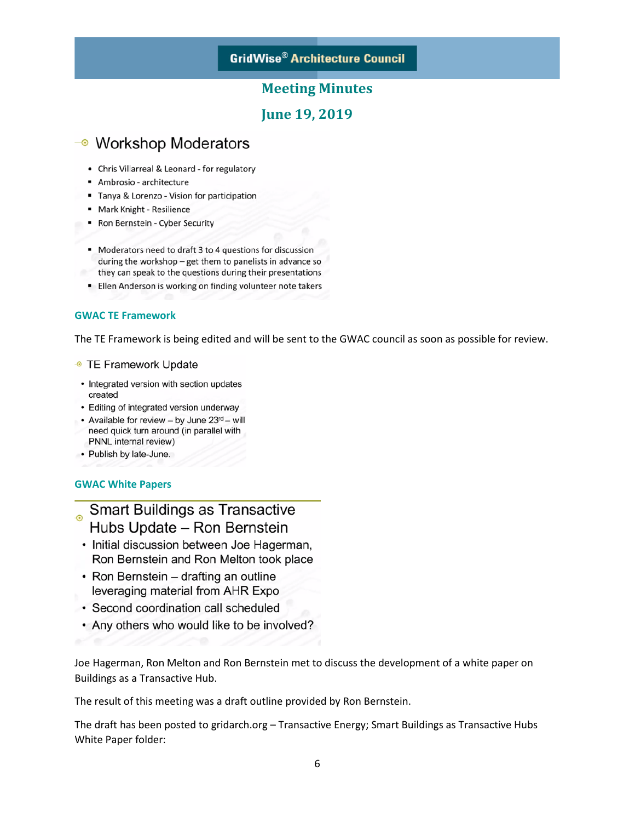### **Meeting Minutes**

### **June 19, 2019**

# → Workshop Moderators

- Chris Villarreal & Leonard for regulatory
- Ambrosio architecture
- " Tanya & Lorenzo Vision for participation
- " Mark Knight Resilience
- Ron Bernstein Cyber Security
- Moderators need to draft 3 to 4 questions for discussion during the workshop - get them to panelists in advance so they can speak to the questions during their presentations
- **Ellen Anderson is working on finding volunteer note takers**

### **GWAC TE Framework**

The TE Framework is being edited and will be sent to the GWAC council as soon as possible for review.

#### • TE Framework Update

- Integrated version with section updates created
- Editing of integrated version underway
- Available for review by June 23rd will need quick turn around (in parallel with PNNL internal review)
- Publish by late-June.

### **GWAC White Papers**

# **Smart Buildings as Transactive** Hubs Update - Ron Bernstein

- Initial discussion between Joe Hagerman, Ron Bernstein and Ron Melton took place
- Ron Bernstein drafting an outline leveraging material from AHR Expo
- Second coordination call scheduled
- Any others who would like to be involved?

Joe Hagerman, Ron Melton and Ron Bernstein met to discuss the development of a white paper on Buildings as a Transactive Hub.

The result of this meeting was a draft outline provided by Ron Bernstein.

The draft has been posted to gridarch.org – Transactive Energy; Smart Buildings as Transactive Hubs White Paper folder: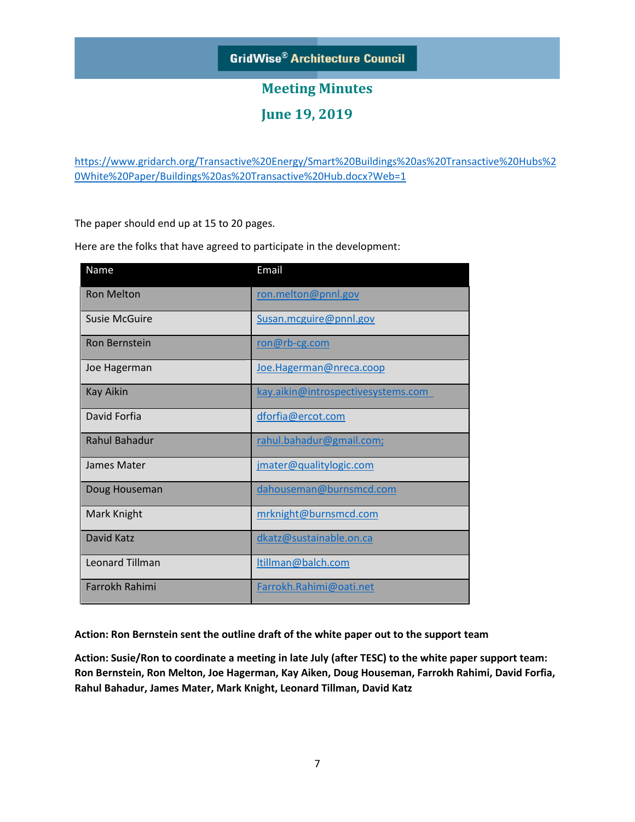# **Meeting Minutes**

**June 19, 2019** 

[https://www.gridarch.org/Transactive%20Energy/Smart%20Buildings%20as%20Transactive%20Hubs%2](https://www.gridarch.org/Transactive%20Energy/Smart%20Buildings%20as%20Transactive%20Hubs%20White%20Paper/Buildings%20as%20Transactive%20Hub.docx?Web=1) [0White%20Paper/Buildings%20as%20Transactive%20Hub.docx?Web=1](https://www.gridarch.org/Transactive%20Energy/Smart%20Buildings%20as%20Transactive%20Hubs%20White%20Paper/Buildings%20as%20Transactive%20Hub.docx?Web=1)

The paper should end up at 15 to 20 pages.

Here are the folks that have agreed to participate in the development:

| Name                   | Email                              |
|------------------------|------------------------------------|
| <b>Ron Melton</b>      | ron.melton@pnnl.gov                |
| <b>Susie McGuire</b>   | Susan.mcguire@pnnl.gov             |
| <b>Ron Bernstein</b>   | ron@rb-cg.com                      |
| Joe Hagerman           | Joe.Hagerman@nreca.coop            |
| <b>Kay Aikin</b>       | kay.aikin@introspectivesystems.com |
| David Forfia           | dforfia@ercot.com                  |
| <b>Rahul Bahadur</b>   | rahul.bahadur@gmail.com;           |
| James Mater            | jmater@qualitylogic.com            |
| Doug Houseman          | dahouseman@burnsmcd.com            |
| Mark Knight            | mrknight@burnsmcd.com              |
| <b>David Katz</b>      | dkatz@sustainable.on.ca            |
| <b>Leonard Tillman</b> | ltillman@balch.com                 |
| Farrokh Rahimi         | Farrokh.Rahimi@oati.net            |

**Action: Ron Bernstein sent the outline draft of the white paper out to the support team**

**Action: Susie/Ron to coordinate a meeting in late July (after TESC) to the white paper support team: Ron Bernstein, Ron Melton, Joe Hagerman, Kay Aiken, Doug Houseman, Farrokh Rahimi, David Forfia, Rahul Bahadur, James Mater, Mark Knight, Leonard Tillman, David Katz**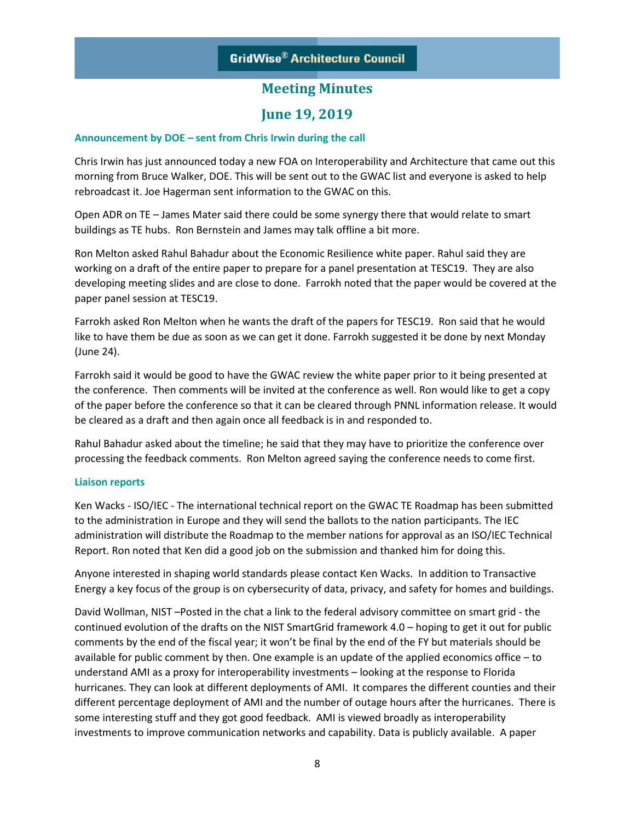### **June 19, 2019**

### **Announcement by DOE – sent from Chris Irwin during the call**

Chris Irwin has just announced today a new FOA on Interoperability and Architecture that came out this morning from Bruce Walker, DOE. This will be sent out to the GWAC list and everyone is asked to help rebroadcast it. Joe Hagerman sent information to the GWAC on this.

Open ADR on TE – James Mater said there could be some synergy there that would relate to smart buildings as TE hubs. Ron Bernstein and James may talk offline a bit more.

Ron Melton asked Rahul Bahadur about the Economic Resilience white paper. Rahul said they are working on a draft of the entire paper to prepare for a panel presentation at TESC19. They are also developing meeting slides and are close to done. Farrokh noted that the paper would be covered at the paper panel session at TESC19.

Farrokh asked Ron Melton when he wants the draft of the papers for TESC19. Ron said that he would like to have them be due as soon as we can get it done. Farrokh suggested it be done by next Monday (June 24).

Farrokh said it would be good to have the GWAC review the white paper prior to it being presented at the conference. Then comments will be invited at the conference as well. Ron would like to get a copy of the paper before the conference so that it can be cleared through PNNL information release. It would be cleared as a draft and then again once all feedback is in and responded to.

Rahul Bahadur asked about the timeline; he said that they may have to prioritize the conference over processing the feedback comments. Ron Melton agreed saying the conference needs to come first.

### **Liaison reports**

Ken Wacks - ISO/IEC - The international technical report on the GWAC TE Roadmap has been submitted to the administration in Europe and they will send the ballots to the nation participants. The IEC administration will distribute the Roadmap to the member nations for approval as an ISO/IEC Technical Report. Ron noted that Ken did a good job on the submission and thanked him for doing this.

Anyone interested in shaping world standards please contact Ken Wacks. In addition to Transactive Energy a key focus of the group is on cybersecurity of data, privacy, and safety for homes and buildings.

David Wollman, NIST –Posted in the chat a link to the federal advisory committee on smart grid - the continued evolution of the drafts on the NIST SmartGrid framework 4.0 – hoping to get it out for public comments by the end of the fiscal year; it won't be final by the end of the FY but materials should be available for public comment by then. One example is an update of the applied economics office – to understand AMI as a proxy for interoperability investments – looking at the response to Florida hurricanes. They can look at different deployments of AMI. It compares the different counties and their different percentage deployment of AMI and the number of outage hours after the hurricanes. There is some interesting stuff and they got good feedback. AMI is viewed broadly as interoperability investments to improve communication networks and capability. Data is publicly available. A paper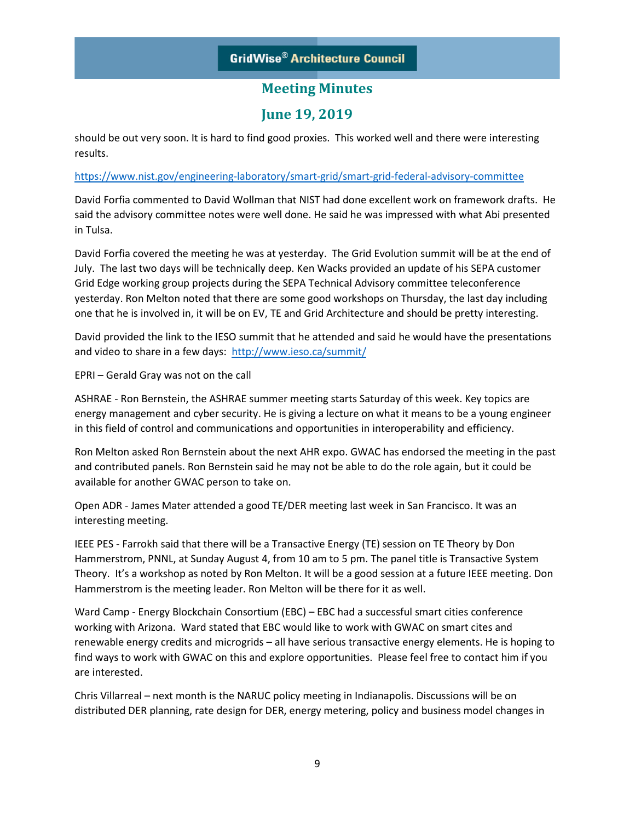# **June 19, 2019**

should be out very soon. It is hard to find good proxies. This worked well and there were interesting results.

### <https://www.nist.gov/engineering-laboratory/smart-grid/smart-grid-federal-advisory-committee>

David Forfia commented to David Wollman that NIST had done excellent work on framework drafts. He said the advisory committee notes were well done. He said he was impressed with what Abi presented in Tulsa.

David Forfia covered the meeting he was at yesterday. The Grid Evolution summit will be at the end of July. The last two days will be technically deep. Ken Wacks provided an update of his SEPA customer Grid Edge working group projects during the SEPA Technical Advisory committee teleconference yesterday. Ron Melton noted that there are some good workshops on Thursday, the last day including one that he is involved in, it will be on EV, TE and Grid Architecture and should be pretty interesting.

David provided the link to the IESO summit that he attended and said he would have the presentations and video to share in a few days: <http://www.ieso.ca/summit/>

EPRI – Gerald Gray was not on the call

ASHRAE - Ron Bernstein, the ASHRAE summer meeting starts Saturday of this week. Key topics are energy management and cyber security. He is giving a lecture on what it means to be a young engineer in this field of control and communications and opportunities in interoperability and efficiency.

Ron Melton asked Ron Bernstein about the next AHR expo. GWAC has endorsed the meeting in the past and contributed panels. Ron Bernstein said he may not be able to do the role again, but it could be available for another GWAC person to take on.

Open ADR - James Mater attended a good TE/DER meeting last week in San Francisco. It was an interesting meeting.

IEEE PES - Farrokh said that there will be a Transactive Energy (TE) session on TE Theory by Don Hammerstrom, PNNL, at Sunday August 4, from 10 am to 5 pm. The panel title is Transactive System Theory. It's a workshop as noted by Ron Melton. It will be a good session at a future IEEE meeting. Don Hammerstrom is the meeting leader. Ron Melton will be there for it as well.

Ward Camp - Energy Blockchain Consortium (EBC) – EBC had a successful smart cities conference working with Arizona. Ward stated that EBC would like to work with GWAC on smart cites and renewable energy credits and microgrids – all have serious transactive energy elements. He is hoping to find ways to work with GWAC on this and explore opportunities. Please feel free to contact him if you are interested.

Chris Villarreal – next month is the NARUC policy meeting in Indianapolis. Discussions will be on distributed DER planning, rate design for DER, energy metering, policy and business model changes in